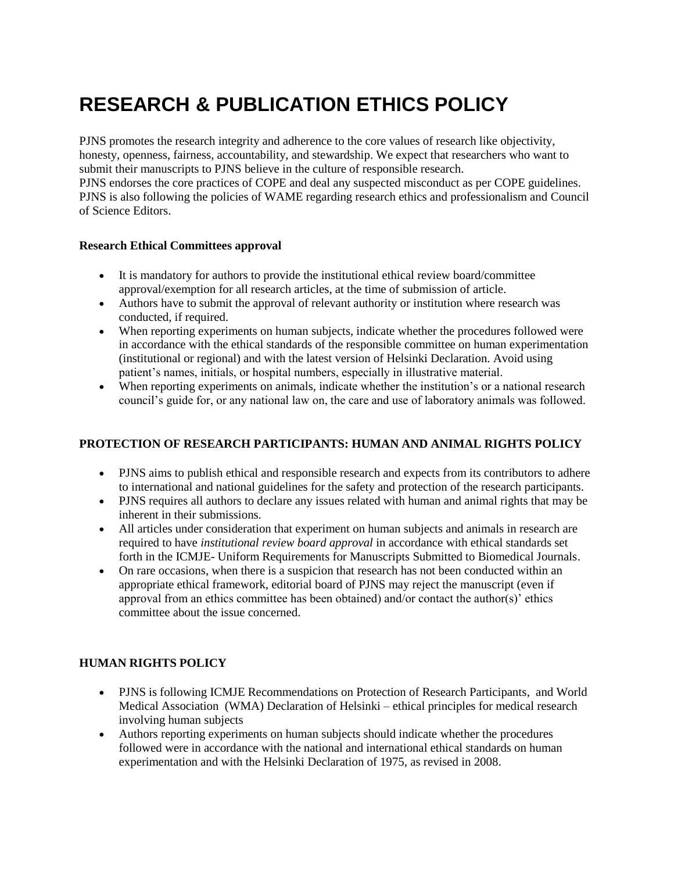# **RESEARCH & PUBLICATION ETHICS POLICY**

PJNS promotes the research integrity and adherence to the core values of research like objectivity, honesty, openness, fairness, accountability, and stewardship. We expect that researchers who want to submit their manuscripts to PJNS believe in the culture of responsible research. PJNS endorses the [core practices of COPE](https://publicationethics.org/core-practices) and deal any suspected misconduct as per [COPE guidelines.](https://publicationethics.org/guidance/Guidelines) PJNS is also following the [policies of WAME](https://www.wame.org/policies) regarding research ethics and professionalism and [Council](https://druwt19tzv6d76es3lg0qdo7-wpengine.netdna-ssl.com/wp-content/uploads/CSE-White-Paper_2018-update-050618.pdf) 

#### **Research Ethical Committees approval**

[of Science Editors.](https://druwt19tzv6d76es3lg0qdo7-wpengine.netdna-ssl.com/wp-content/uploads/CSE-White-Paper_2018-update-050618.pdf)

- It is mandatory for authors to provide the institutional ethical review board/committee approval/exemption for all research articles, at the time of submission of article.
- Authors have to submit the approval of relevant authority or institution where research was conducted, if required.
- When reporting experiments on human subjects, indicate whether the procedures followed were in accordance with the ethical standards of the responsible committee on human experimentation (institutional or regional) and with the latest version of Helsinki Declaration. Avoid using patient's names, initials, or hospital numbers, especially in illustrative material.
- When reporting experiments on animals, indicate whether the institution's or a national research council's guide for, or any national law on, the care and use of laboratory animals was followed.

#### **PROTECTION OF RESEARCH PARTICIPANTS: HUMAN AND ANIMAL RIGHTS POLICY**

- PJNS aims to publish ethical and responsible research and expects from its contributors to adhere to international and national guidelines for the safety and protection of the research participants.
- PJNS requires all authors to declare any issues related with human and animal rights that may be inherent in their submissions.
- All articles under consideration that experiment on human subjects and animals in research are required to have *institutional review board approval* in accordance with ethical standards set forth in the ICMJE- [Uniform Requirements for Manuscripts Submitted to Biomedical Journals.](http://www.icmje.org/icmje-recommendations.pdf)
- On rare occasions, when there is a suspicion that research has not been conducted within an appropriate ethical framework, editorial board of PJNS may reject the manuscript (even if approval from an ethics committee has been obtained) and/or contact the author(s)' ethics committee about the issue concerned.

### **HUMAN RIGHTS POLICY**

- PJNS is following [ICMJE Recommendations on Protection of Research Participants,](http://www.icmje.org/recommendations/browse/roles-and-responsibilities/protection-of-research-participants.html) and [World](https://www.wma.net/policies-post/wma-declaration-of-helsinki-ethical-principles-for-medical-research-involving-human-subjects/)  Medical Association (WMA) Declaration of Helsinki – [ethical principles for medical research](https://www.wma.net/policies-post/wma-declaration-of-helsinki-ethical-principles-for-medical-research-involving-human-subjects/)  [involving human subjects](https://www.wma.net/policies-post/wma-declaration-of-helsinki-ethical-principles-for-medical-research-involving-human-subjects/)
- Authors reporting experiments on human subjects should indicate whether the procedures followed were in accordance with the national and international ethical standards on human experimentation and with the [Helsinki Declaration of 1975, as revised in 2008.](http://www.healthscience.net/resources/declaration-of-helsinki/)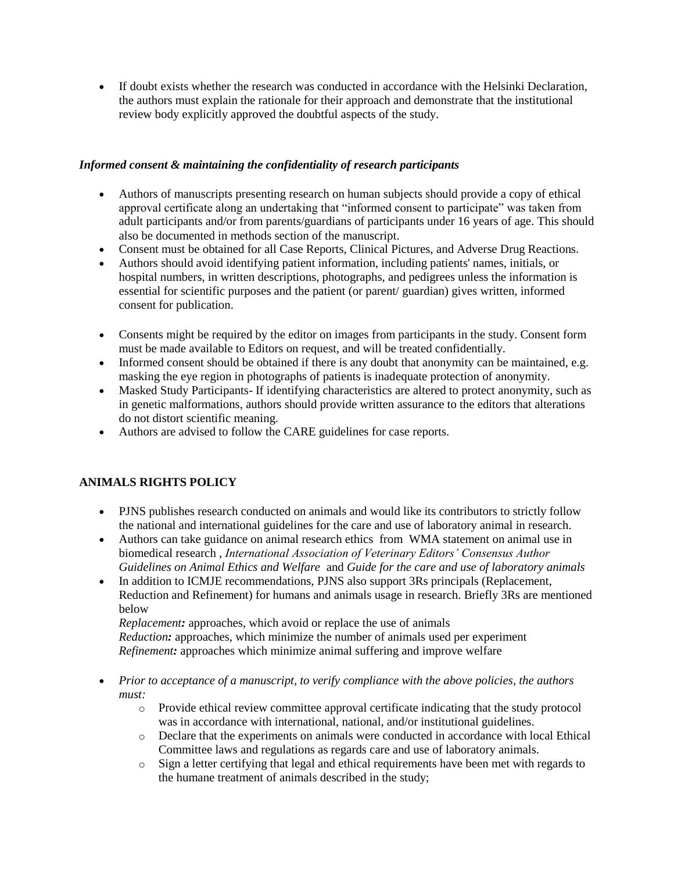If doubt exists whether the research was conducted in accordance with the Helsinki Declaration, the authors must explain the rationale for their approach and demonstrate that the institutional review body explicitly approved the doubtful aspects of the study.

## *Informed consent & maintaining the confidentiality of research participants*

- Authors of manuscripts presenting research on human subjects should provide a copy of ethical approval certificate along an undertaking that "informed consent to participate" was taken from adult participants and/or from parents/guardians of participants under 16 years of age. This should also be documented in methods section of the manuscript.
- Consent must be obtained for all Case Reports, Clinical Pictures, and Adverse Drug Reactions.
- Authors should avoid identifying patient information, including patients' names, initials, or hospital numbers, in written descriptions, photographs, and pedigrees unless the information is essential for scientific purposes and the patient (or parent/ guardian) gives written, informed consent for publication.
- Consents might be required by the editor on images from participants in the study. Consent form must be made available to Editors on request, and will be treated confidentially.
- Informed consent should be obtained if there is any doubt that anonymity can be maintained, e.g. masking the eye region in photographs of patients is inadequate protection of anonymity.
- Masked Study Participants- If identifying characteristics are altered to protect anonymity, such as in genetic malformations, authors should provide written assurance to the editors that alterations do not distort scientific meaning.
- Authors are advised to follow the [CARE guidelines](https://www.care-statement.org/checklist) for case reports.

## **ANIMALS RIGHTS POLICY**

- PJNS publishes research conducted on animals and would like its contributors to strictly follow the national and international guidelines for the care and use of laboratory animal in research.
- Authors can take guidance on animal research ethics from [WMA statement on animal use in](https://www.wma.net/policies-post/wma-statement-on-animal-use-in-biomedical-research/)  [biomedical research](https://www.wma.net/policies-post/wma-statement-on-animal-use-in-biomedical-research/) , *[International Association of Veterinary Editors' Consensus Author](http://www.veteditors.org/consensus-author-guidelines-on-animal-ethics-and-welfare-for-editors)  [Guidelines on Animal Ethics and Welfare](http://www.veteditors.org/consensus-author-guidelines-on-animal-ethics-and-welfare-for-editors)* and *[Guide for the care and use of laboratory animals](https://grants.nih.gov/grants/olaw/Guide-for-the-Care-and-Use-of-Laboratory-Animals.pdf)*
- In addition to ICMJE recommendations, PJNS also support [3Rs principals](https://www.nc3rs.org.uk/the-3rs) (Replacement, Reduction and Refinement) for humans and animals usage in research. Briefly 3Rs are mentioned below

*Replacement:* approaches, which avoid or replace the use of animals *Reduction:* approaches, which minimize the number of animals used per experiment *Refinement:* approaches which minimize animal suffering and improve welfare

- *Prior to acceptance of a manuscript, to verify compliance with the above policies, the authors must:*
	- o Provide ethical review committee approval certificate indicating that the study protocol was in accordance with international, national, and/or institutional guidelines.
	- o Declare that the experiments on animals were conducted in accordance with local Ethical Committee laws and regulations as regards care and use of laboratory animals.
	- o Sign a letter certifying that legal and ethical requirements have been met with regards to the humane treatment of animals described in the study;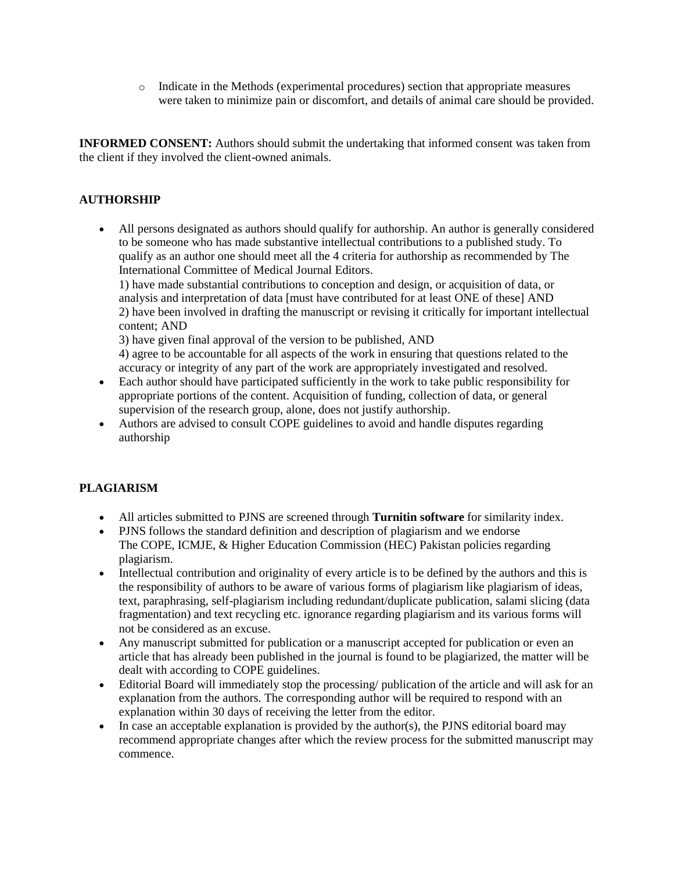$\circ$  Indicate in the Methods (experimental procedures) section that appropriate measures were taken to minimize pain or discomfort, and details of animal care should be provided.

**INFORMED CONSENT:** Authors should submit the undertaking that informed consent was taken from the client if they involved the client-owned animals.

### **AUTHORSHIP**

 All persons designated as authors should qualify for authorship. An author is generally considered to be someone who has made substantive intellectual contributions to a published study. To qualify as an author one should meet all the 4 [criteria for authorship as recommended by The](http://www.icmje.org/recommendations/browse/roles-and-responsibilities/defining-the-role-of-authors-and-contributors.html#two)  [International Committee of Medical Journal Editors.](http://www.icmje.org/recommendations/browse/roles-and-responsibilities/defining-the-role-of-authors-and-contributors.html#two)

1) have made substantial contributions to conception and design, or acquisition of data, or analysis and interpretation of data [must have contributed for at least ONE of these] AND 2) have been involved in drafting the manuscript or revising it critically for important intellectual content; AND

3) have given final approval of the version to be published, AND

4) agree to be accountable for all aspects of the work in ensuring that questions related to the accuracy or integrity of any part of the work are appropriately investigated and resolved.

- Each author should have participated sufficiently in the work to take public responsibility for appropriate portions of the content. Acquisition of funding, collection of data, or general supervision of the research group, alone, does not justify authorship.
- Authors are advised to consult [COPE guidelines](https://publicationethics.org/files/2003pdf12_0.pdf) to avoid and handle disputes regarding authorship

### **PLAGIARISM**

- All articles submitted to PJNS are screened through **[Turnitin software](https://www.turnitin.com/)** for similarity index.
- PJNS follows the standard definition and description of [plagiarism](http://facpub.stjohns.edu/roigm/plagiarism/Index.html) and we endorse The [COPE,](http://www.cope.org/) [ICMJE,](http://www.icmje.org/) & [Higher Education Commission](http://www.hec.gov.pk/) (HEC) Pakistan policies regarding plagiarism.
- Intellectual contribution and originality of every article is to be defined by the authors and this is the responsibility of authors to be aware of various forms of plagiarism like plagiarism of ideas, text, paraphrasing, self-plagiarism including redundant/duplicate publication, salami slicing (data fragmentation) and text recycling etc. ignorance regarding plagiarism and its various forms will not be considered as an excuse.
- Any manuscript submitted for publication or a manuscript accepted for publication or even an article that has already been published in the journal is found to be plagiarized, the matter will be dealt with according to COPE guidelines.
- Editorial Board will immediately stop the processing/ publication of the article and will ask for an explanation from the authors. The corresponding author will be required to respond with an explanation within 30 days of receiving the letter from the editor.
- $\bullet$  In case an acceptable explanation is provided by the author(s), the PJNS editorial board may recommend appropriate changes after which the review process for the submitted manuscript may commence.